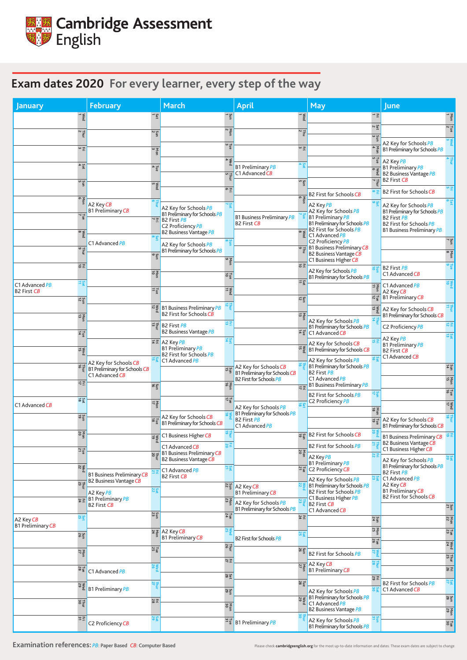| <b>January</b>                                                        | <b>February</b>                                        |                           | March                                                                |                  | April                                                           |                                | <b>May</b>                                                                |                                                          | <b>June</b>                                                         |                                |
|-----------------------------------------------------------------------|--------------------------------------------------------|---------------------------|----------------------------------------------------------------------|------------------|-----------------------------------------------------------------|--------------------------------|---------------------------------------------------------------------------|----------------------------------------------------------|---------------------------------------------------------------------|--------------------------------|
| $\frac{1}{1}$                                                         |                                                        | Sat<br>1                  | $\frac{5}{1}$                                                        |                  |                                                                 | Wed                            |                                                                           | $\rightarrow \Xi$                                        |                                                                     | Ten                            |
| $\frac{7}{2}$                                                         |                                                        | $\frac{5}{2}$             | $\frac{Non}{2}$                                                      |                  |                                                                 | $\frac{1}{2}$                  |                                                                           | $2$ at                                                   |                                                                     | $\frac{1}{2}$ $\sim$           |
| $\Xi$ $^\omega$                                                       |                                                        |                           | $\frac{1}{3}a$                                                       |                  |                                                                 | $\frac{1}{2}$                  |                                                                           | $\sum_{9}$                                               | A2 Key for Schools PB                                               | $\sum_{\alpha}^{\infty}$       |
|                                                                       |                                                        | Mon                       |                                                                      |                  |                                                                 |                                |                                                                           | $\frac{\text{Not}}{4}$<br>$\frac{\Gamma_{\text{ue}}}{5}$ | B1 Preliminary for Schools PB                                       |                                |
| $S$ at                                                                |                                                        | $\frac{1}{4}$             | $\frac{N}{4}$                                                        |                  | <b>B1 Preliminary PB</b><br>C1 Advanced CB                      | Sa<br>Sa                       |                                                                           | $\circ$ $\leq$                                           | A2 Key PB<br><b>B1 Preliminary PB</b>                               |                                |
| Sun<br>5                                                              |                                                        |                           |                                                                      | 며 보              |                                                                 | Sun<br>5                       |                                                                           | ρą<br>$\frac{7}{7}$                                      | <b>B2 Business Vantage PB</b><br><b>B2 First CB</b>                 |                                |
|                                                                       |                                                        | $\frac{\text{Wed}}{5}$    | ㅇ 포                                                                  |                  |                                                                 |                                | <b>B2 First for Schools CB</b>                                            |                                                          | <b>B2 First for Schools CB</b>                                      | 어포                             |
| kon<br>oon                                                            | A2 Key CB                                              |                           | A2 Key for Schools PB                                                | $\frac{S}{\sim}$ |                                                                 | <b>v</b> on<br>So              | A2 Key PB                                                                 |                                                          | A2 Key for Schools PB                                               | ა<br>ან                        |
| Tue<br>7                                                              | <b>B1 Preliminary CB</b>                               |                           | B1 Preliminary for Schools PB<br>$\sqrt{2}$ B2 First PB              |                  | <b>B1 Business Preliminary PB</b>                               |                                | A2 Key for Schools PB<br><b>B1 Preliminary PB</b>                         |                                                          | B1 Preliminary for Schools PB<br><b>B2 First PB</b>                 |                                |
| Wed<br>8                                                              |                                                        |                           | C2 Proficiency PB<br><b>B2 Business Vantage PB</b>                   |                  | <b>B2 First CB</b>                                              | $rac{6}{\sqrt{6}}$             | B1 Preliminary for Schools PB<br><b>B2 First for Schools PB</b>           |                                                          | <b>B2 First for Schools PB</b><br><b>B1 Business Preliminary PB</b> |                                |
|                                                                       | C1 Advanced PB                                         | ထ ပ္သာ                    | $rac{8}{5}$<br>A2 Key for Schools PB                                 |                  |                                                                 |                                | $\bigcup$ C1 Advanced PB<br>C2 Proficiency PB                             |                                                          |                                                                     | $\frac{5}{7}$                  |
| $\frac{7}{9}$                                                         |                                                        | Sun<br>9                  | B1 Preliminary for Schools PB                                        |                  |                                                                 |                                | $\frac{1}{2}$ B1 Business Preliminary CB<br><b>B2 Business Vantage CB</b> |                                                          |                                                                     | $\frac{\text{N}}{\text{o}}$    |
| $\Xi$                                                                 |                                                        |                           | Non<br>9                                                             |                  |                                                                 | $\vec{a}$                      | C1 Business Higher CB<br>A2 Key for Schools PB                            |                                                          | <b>B2 First PB</b>                                                  |                                |
| $2$ at                                                                |                                                        | <b>A</b><br>Opt           | $\frac{1}{9}$                                                        |                  |                                                                 | Sat                            | B1 Preliminary for Schools PB                                             |                                                          | C1 Advanced CB                                                      | <b>Nec</b>                     |
| C1 Advanced PB<br><b>B2 First CB</b>                                  |                                                        | 1≌                        | $\frac{3}{4}$                                                        |                  |                                                                 |                                |                                                                           | $\frac{1}{11}$                                           | C1 Advanced PB<br>A2 Key CB                                         |                                |
| $\frac{5}{12}$                                                        |                                                        |                           | $\vec{B}$ B1 Business Preliminary PB                                 |                  |                                                                 | $rac{5}{12}$                   |                                                                           | $\frac{1}{5}$ $\frac{1}{2}$                              | <b>B1 Preliminary CB</b>                                            | 부분                             |
| $\frac{\text{Ne}}{\text{d}}$                                          |                                                        |                           | B2 First for Schools CB                                              |                  |                                                                 | Non<br>13                      |                                                                           | $\geqslant$ $\frac{1}{13}$                               | A2 Key for Schools CB<br>B1 Preliminary for Schools CB              |                                |
|                                                                       |                                                        |                           | 료표<br>교量 B2 First $PB$<br><b>B2 Business Vantage PB</b>              |                  |                                                                 | $\frac{1}{4}$                  | A2 Key for Schools PB<br>B1 Preliminary for Schools PB                    |                                                          | C2 Proficiency PB                                                   | 最適                             |
| $\frac{1}{4}$                                                         |                                                        |                           | $\frac{5}{4}$<br>료코 A2 Key PB                                        |                  |                                                                 |                                | C1 Advanced CB<br>A2 Key for Schools CB                                   |                                                          | A2 Key PB<br><b>B1 Preliminary PB</b>                               | $\frac{5}{19}$                 |
| $\begin{array}{c}\n\hline\n\text{N}\text{ }e\text{d}\n\end{array}$ 15 |                                                        |                           | <b>B1 Preliminary PB</b><br><b>B2 First for Schools PB</b>           |                  |                                                                 |                                | $\frac{1}{\sqrt{6}}$ B1 Preliminary for Schools CB                        |                                                          | <b>B2 First CB</b><br>C1 Advanced CB                                |                                |
| Thui<br>16                                                            | A2 Key for Schools CB<br>B1 Preliminary for Schools CB |                           | C1 Advanced PB                                                       |                  | A2 Key for Schools CB                                           |                                | A2 Key for Schools PB<br>B1 Preliminary for Schools PB                    |                                                          |                                                                     | $rac{5}{4}$                    |
|                                                                       | C1 Advanced CB                                         |                           |                                                                      | Sun<br>15        | B1 Preliminary for Schools CB<br><b>B2 First for Schools PB</b> |                                | <b>B2 First PB</b><br>C1 Advanced PB                                      |                                                          |                                                                     | Non<br>15                      |
| $\Xi\,\overleftrightarrow{\!\!\!=}$                                   |                                                        | Sun                       | Non<br>16                                                            |                  |                                                                 | $\exists \Xi$                  | <b>B1 Business Preliminary PB</b>                                         |                                                          |                                                                     | <b>Lue</b>                     |
| $2\frac{1}{2}$<br>C1 Advanced CB                                      |                                                        | $\frac{2}{7}$             | $\frac{7}{17}$                                                       |                  |                                                                 | $\frac{3}{8}$                  | <b>B2 First for Schools PB</b><br>C2 Proficiency PB                       | $\frac{21}{12}$                                          |                                                                     | Wed<br>17                      |
| Sun<br>19                                                             |                                                        |                           | A2 Key for Schools CB                                                |                  | A2 Key for Schools PB<br>B1 Preliminary for Schools PB          |                                |                                                                           | $\frac{\text{Not}}{\text{18}}$                           |                                                                     |                                |
|                                                                       |                                                        | $\frac{1}{8}$             | B1 Preliminary for Schools CB                                        |                  | B2 First PB<br>C1 Advanced PB                                   |                                |                                                                           | $\vec{a}$ $\vec{c}$                                      | A2 Key for Schools CB<br>B1 Preliminary for Schools CB              |                                |
| $\frac{\text{Non}}{\text{20}}$                                        |                                                        | Med<br>19                 | C1 Business Higher CB                                                |                  |                                                                 |                                | B2 First for Schools CB                                                   |                                                          | <b>B1 Business Preliminary CB</b><br><b>B2 Business Vantage CB</b>  | 하죠                             |
| $\frac{7}{21}$                                                        |                                                        |                           | $\frac{1}{2}$<br>C1 Advanced CB<br><b>B1 Business Preliminary CB</b> |                  |                                                                 | $\frac{\text{Non}}{\text{20}}$ | <b>B2 First for Schools PB</b>                                            |                                                          | C1 Business Higher CB                                               |                                |
| $\frac{\text{Wed}}{22}$                                               |                                                        |                           | <b>B2 Business Vantage CB</b><br>$rac{5}{24}$                        |                  |                                                                 |                                | A2 Key PB<br><b>B1 Preliminary PB</b>                                     |                                                          | A2 Key for Schools PB<br>B1 Preliminary for Schools PB              | $rac{2}{20}$                   |
|                                                                       | <b>B1 Business Preliminary CB</b>                      |                           | C1 Advanced PB<br><b>B2 First CB</b>                                 |                  |                                                                 | $\frac{1}{2}$ $\frac{1}{2}$    | C2 Proficiency CB<br>A2 Key for Schools PB                                |                                                          | <b>B2 First PB</b><br>C1 Advanced PB                                |                                |
| $rac{7}{23}$                                                          | <b>B2 Business Vantage CB</b><br>A2 Key PB             | <b>Sal</b>                |                                                                      |                  | $\frac{186}{12}$ A2 Key CB<br><b>B1 Preliminary CB</b>          |                                | B1 Preliminary for Schools PB<br><b>B2 First for Schools PB</b>           |                                                          | A2 Key CB<br><b>B1 Preliminary CB</b>                               |                                |
| $E \n4$                                                               | <b>B1</b> Preliminary PB<br><b>B2 First CB</b>         |                           | $\frac{\text{Non}}{\text{23}}$                                       |                  | A2 Key for Schools PB                                           | $\frac{2}{3}$                  | C1 Business Higher PB<br><b>B2 First CB</b>                               |                                                          | <b>B2 First for Schools CB</b>                                      |                                |
| Sat<br>25                                                             |                                                        | $rac{5}{23}$              | Tue<br>24                                                            |                  | B1 Preliminary for Schools PB                                   | $E \n4$                        | C1 Advanced CB                                                            |                                                          |                                                                     | $\frac{5}{21}$                 |
| A2 Key CB<br><b>B1 Preliminary CB</b>                                 |                                                        |                           |                                                                      |                  |                                                                 |                                |                                                                           | $\frac{5}{24}$                                           |                                                                     | $\frac{\text{Non}}{\text{22}}$ |
| Sun<br>26                                                             |                                                        |                           | $R_{\frac{3}{2}}$ A2 Key CB<br><b>B1 Preliminary CB</b>              |                  | <b>B2 First for Schools PB</b>                                  | 25                             |                                                                           | $\frac{\text{Non}}{\text{25}}$<br>Tue<br>26              |                                                                     | $\frac{1}{23}$                 |
| $\frac{\text{Not}}{27}$                                               |                                                        | Tue<br>25                 | Thui                                                                 |                  |                                                                 | Sun<br>26                      | <b>B2 First for Schools PB</b>                                            | Wed<br><sub>27</sub>                                     |                                                                     | $\frac{\text{Wed}}{24}$        |
|                                                                       |                                                        |                           | 진 포                                                                  |                  |                                                                 |                                | $\frac{N_{\frac{3}{2}}}{N_{\frac{9}{2}}}$ A2 Key CB                       | Fluu<br>28                                               |                                                                     | Thur<br>$25$                   |
| $\frac{7}{28}$                                                        | C1 Advanced PB                                         | Wed<br>26                 | Sat<br>28                                                            |                  |                                                                 |                                | <b>B1 Preliminary CB</b>                                                  | E 2                                                      |                                                                     | 동영                             |
| Wed<br>29                                                             | B1 Preliminary PB                                      | <b>Thur</b>               | Sun<br>29                                                            |                  |                                                                 | $\frac{7}{28}$                 | A2 Key for Schools PB                                                     |                                                          | <b>B2 First for Schools PB</b><br>C1 Advanced CB                    | Sat                            |
| Thur<br>30                                                            |                                                        | $\overline{\mathbb{E}}$ 8 |                                                                      |                  |                                                                 |                                | $\frac{12}{8}$ B1 Preliminary for Schools PB<br>C1 Advanced PB            |                                                          |                                                                     | $\frac{5}{28}$                 |
|                                                                       |                                                        |                           | Non<br>30                                                            |                  |                                                                 |                                | <b>B2 Business Vantage PB</b>                                             |                                                          |                                                                     | Mon<br>29                      |
| 프프                                                                    | C2 Proficiency CB                                      | Sat                       |                                                                      |                  | $\frac{16}{5}$ B1 Preliminary PB                                | $rac{1}{20}$                   | A2 Key for Schools PB<br>B1 Preliminary for Schools PB                    | Sān                                                      |                                                                     | $\frac{1}{30}$                 |

**Examination references:** *PB*: **Paper Based** *CB*: Computer Based **Pased** Please check [cambridgeenglish.org](http://cambridgeenglish.org) for the most up-to-date information and dates. These exam dates are subject to change.



## **Exam dates 2020 For every learner, every step of the way**